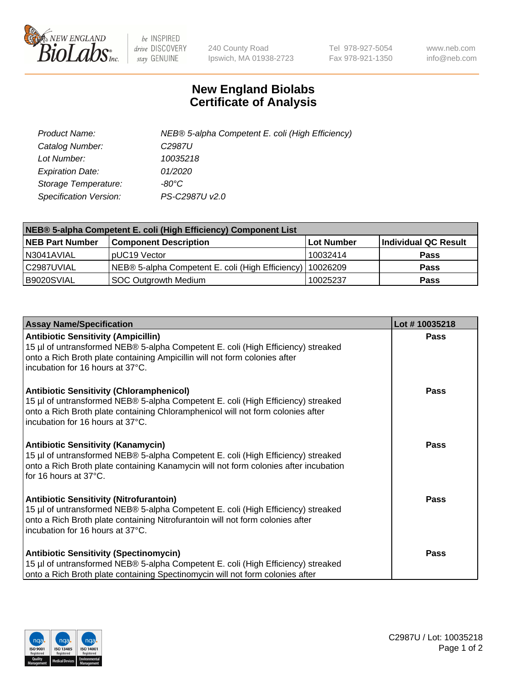

 $be$  INSPIRED drive DISCOVERY stay GENUINE

240 County Road Ipswich, MA 01938-2723 Tel 978-927-5054 Fax 978-921-1350 www.neb.com info@neb.com

## **New England Biolabs Certificate of Analysis**

| Product Name:                 | NEB® 5-alpha Competent E. coli (High Efficiency) |
|-------------------------------|--------------------------------------------------|
| Catalog Number:               | C <sub>2987</sub> U                              |
| Lot Number:                   | 10035218                                         |
| <b>Expiration Date:</b>       | 01/2020                                          |
| Storage Temperature:          | -80°C                                            |
| <b>Specification Version:</b> | PS-C2987U v2.0                                   |

| NEB® 5-alpha Competent E. coli (High Efficiency) Component List |                                                  |            |                      |  |
|-----------------------------------------------------------------|--------------------------------------------------|------------|----------------------|--|
| <b>NEB Part Number</b>                                          | <b>Component Description</b>                     | Lot Number | Individual QC Result |  |
| N3041AVIAL                                                      | pUC19 Vector                                     | 10032414   | <b>Pass</b>          |  |
| C2987UVIAL                                                      | NEB® 5-alpha Competent E. coli (High Efficiency) | 10026209   | <b>Pass</b>          |  |
| B9020SVIAL                                                      | <b>SOC Outgrowth Medium</b>                      | 10025237   | <b>Pass</b>          |  |

| <b>Assay Name/Specification</b>                                                                                                                                                                                                                            | Lot #10035218 |
|------------------------------------------------------------------------------------------------------------------------------------------------------------------------------------------------------------------------------------------------------------|---------------|
| <b>Antibiotic Sensitivity (Ampicillin)</b><br>15 µl of untransformed NEB® 5-alpha Competent E. coli (High Efficiency) streaked<br>onto a Rich Broth plate containing Ampicillin will not form colonies after<br>incubation for 16 hours at 37°C.           | <b>Pass</b>   |
| <b>Antibiotic Sensitivity (Chloramphenicol)</b><br>15 µl of untransformed NEB® 5-alpha Competent E. coli (High Efficiency) streaked<br>onto a Rich Broth plate containing Chloramphenicol will not form colonies after<br>incubation for 16 hours at 37°C. | Pass          |
| Antibiotic Sensitivity (Kanamycin)<br>15 µl of untransformed NEB® 5-alpha Competent E. coli (High Efficiency) streaked<br>onto a Rich Broth plate containing Kanamycin will not form colonies after incubation<br>for 16 hours at 37°C.                    | Pass          |
| <b>Antibiotic Sensitivity (Nitrofurantoin)</b><br>15 µl of untransformed NEB® 5-alpha Competent E. coli (High Efficiency) streaked<br>onto a Rich Broth plate containing Nitrofurantoin will not form colonies after<br>incubation for 16 hours at 37°C.   | <b>Pass</b>   |
| <b>Antibiotic Sensitivity (Spectinomycin)</b><br>15 µl of untransformed NEB® 5-alpha Competent E. coli (High Efficiency) streaked<br>onto a Rich Broth plate containing Spectinomycin will not form colonies after                                         | Pass          |